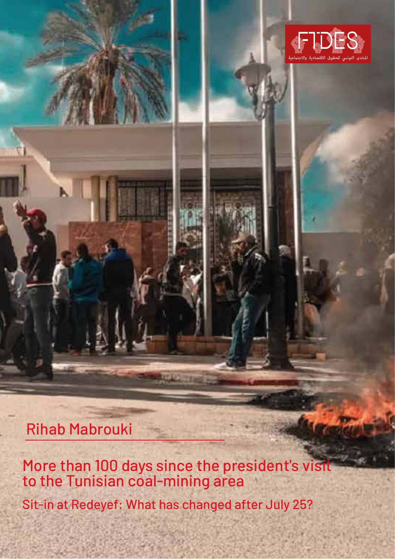

Rihab Mabrouki

More than 100 days since the president's visit to the Tunisian coal-mining area

Sit-in at Redeyef: What has changed after July 25?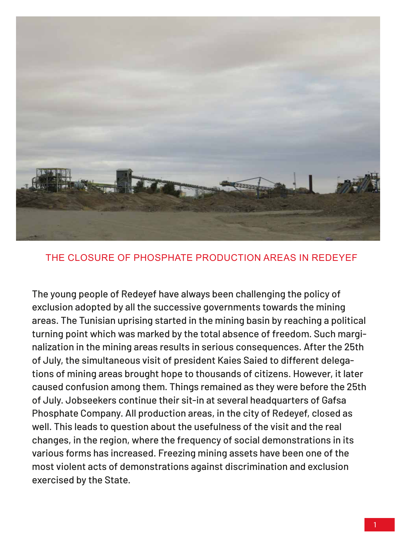

#### THE CLOSURE OF PHOSPHATE PRODUCTION AREAS IN REDEYEF

The young people of Redeyef have always been challenging the policy of exclusion adopted by all the successive governments towards the mining areas. The Tunisian uprising started in the mining basin by reaching a political turning point which was marked by the total absence of freedom. Such marginalization in the mining areas results in serious consequences. After the 25th of July, the simultaneous visit of president Kaies Saied to different delegations of mining areas brought hope to thousands of citizens. However, it later caused confusion among them. Things remained as they were before the 25th of July. Jobseekers continue their sit-in at several headquarters of Gafsa Phosphate Company. All production areas, in the city of Redeyef, closed as well. This leads to question about the usefulness of the visit and the real changes, in the region, where the frequency of social demonstrations in its various forms has increased. Freezing mining assets have been one of the most violent acts of demonstrations against discrimination and exclusion exercised by the State.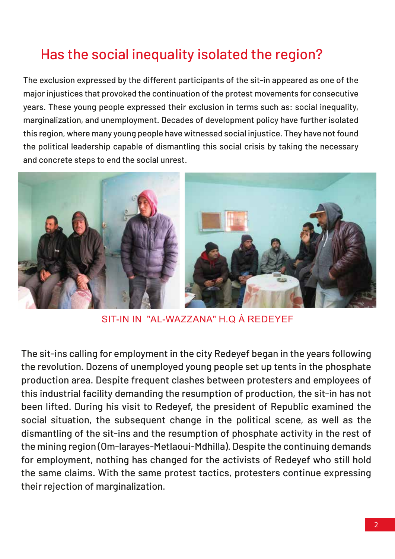# Has the social inequality isolated the region?

The exclusion expressed by the different participants of the sit-in appeared as one of the major injustices that provoked the continuation of the protest movements for consecutive years. These young people expressed their exclusion in terms such as: social inequality, marginalization, and unemployment. Decades of development policy have further isolated this region, where many young people have witnessed social injustice. They have not found the political leadership capable of dismantling this social crisis by taking the necessary and concrete steps to end the social unrest.



SIT-IN IN "AL-WAZZANA" H.Q À REDEYEF

The sit-ins calling for employment in the city Redeyef began in the years following the revolution. Dozens of unemployed young people set up tents in the phosphate production area. Despite frequent clashes between protesters and employees of this industrial facility demanding the resumption of production, the sit-in has not been lifted. During his visit to Redeyef, the president of Republic examined the social situation, the subsequent change in the political scene, as well as the dismantling of the sit-ins and the resumption of phosphate activity in the rest of the mining region (Om-larayes-Metlaoui-Mdhilla). Despite the continuing demands for employment, nothing has changed for the activists of Redeyef who still hold the same claims. With the same protest tactics, protesters continue expressing their rejection of marginalization.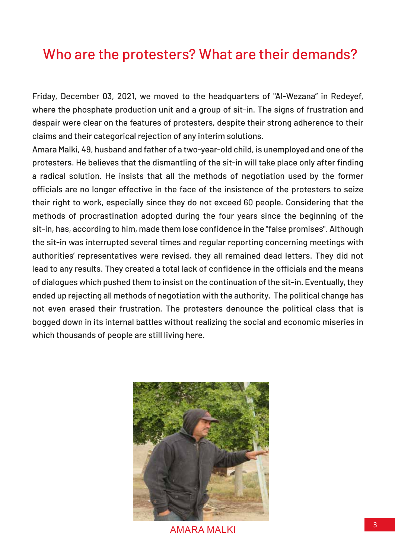### Who are the protesters? What are their demands?

Friday, December 03, 2021, we moved to the headquarters of "Al-Wezana" in Redeyef, where the phosphate production unit and a group of sit-in. The signs of frustration and despair were clear on the features of protesters, despite their strong adherence to their claims and their categorical rejection of any interim solutions.

Amara Malki, 49, husband and father of a two-year-old child, is unemployed and one of the protesters. He believes that the dismantling of the sit-in will take place only after finding a radical solution. He insists that all the methods of negotiation used by the former officials are no longer effective in the face of the insistence of the protesters to seize their right to work, especially since they do not exceed 60 people. Considering that the methods of procrastination adopted during the four years since the beginning of the sit-in, has, according to him, made them lose confidence in the "false promises". Although the sit-in was interrupted several times and regular reporting concerning meetings with authorities' representatives were revised, they all remained dead letters. They did not lead to any results. They created a total lack of confidence in the officials and the means of dialogues which pushed them to insist on the continuation of the sit-in. Eventually, they ended up rejecting all methods of negotiation with the authority. The political change has not even erased their frustration. The protesters denounce the political class that is bogged down in its internal battles without realizing the social and economic miseries in which thousands of people are still living here.



<sup>3</sup> AMARA MALKI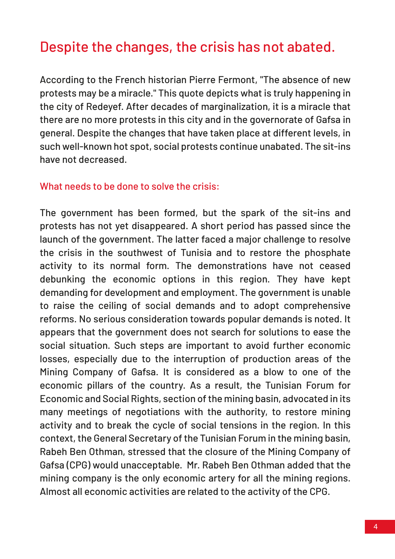## Despite the changes, the crisis has not abated.

According to the French historian Pierre Fermont, "The absence of new protests may be a miracle." This quote depicts what is truly happening in the city of Redeyef. After decades of marginalization, it is a miracle that there are no more protests in this city and in the governorate of Gafsa in general. Despite the changes that have taken place at different levels, in such well-known hot spot, social protests continue unabated. The sit-ins have not decreased.

#### What needs to be done to solve the crisis:

The government has been formed, but the spark of the sit-ins and protests has not yet disappeared. A short period has passed since the launch of the government. The latter faced a major challenge to resolve the crisis in the southwest of Tunisia and to restore the phosphate activity to its normal form. The demonstrations have not ceased debunking the economic options in this region. They have kept demanding for development and employment. The government is unable to raise the ceiling of social demands and to adopt comprehensive reforms. No serious consideration towards popular demands is noted. It appears that the government does not search for solutions to ease the social situation. Such steps are important to avoid further economic losses, especially due to the interruption of production areas of the Mining Company of Gafsa. It is considered as a blow to one of the economic pillars of the country. As a result, the Tunisian Forum for Economic and Social Rights, section of the mining basin, advocated in its many meetings of negotiations with the authority, to restore mining activity and to break the cycle of social tensions in the region. In this context, the General Secretary of the Tunisian Forum in the mining basin, Rabeh Ben Othman, stressed that the closure of the Mining Company of Gafsa (CPG) would unacceptable. Mr. Rabeh Ben Othman added that the mining company is the only economic artery for all the mining regions. Almost all economic activities are related to the activity of the CPG.